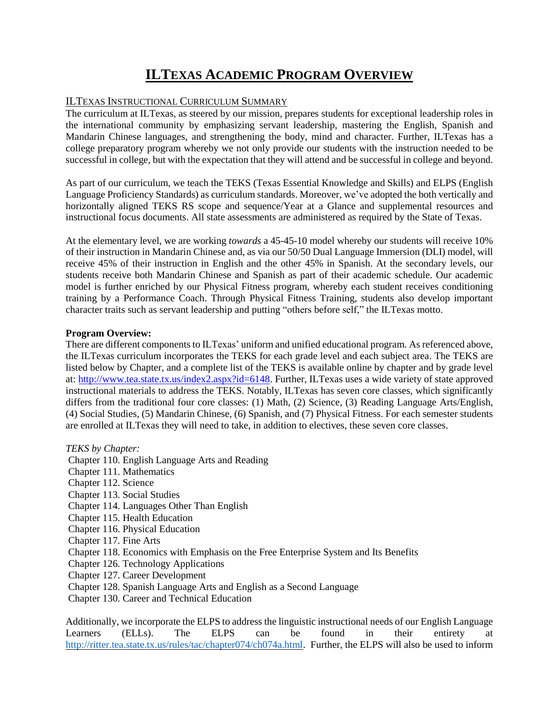# **ILTEXAS ACADEMIC PROGRAM OVERVIEW**

## ILTEXAS INSTRUCTIONAL CURRICULUM SUMMARY

The curriculum at ILTexas, as steered by our mission, prepares students for exceptional leadership roles in the international community by emphasizing servant leadership, mastering the English, Spanish and Mandarin Chinese languages, and strengthening the body, mind and character. Further, ILTexas has a college preparatory program whereby we not only provide our students with the instruction needed to be successful in college, but with the expectation that they will attend and be successful in college and beyond.

As part of our curriculum, we teach the TEKS (Texas Essential Knowledge and Skills) and ELPS (English Language Proficiency Standards) as curriculum standards. Moreover, we've adopted the both vertically and horizontally aligned TEKS RS scope and sequence/Year at a Glance and supplemental resources and instructional focus documents. All state assessments are administered as required by the State of Texas.

At the elementary level, we are working *towards* a 45-45-10 model whereby our students will receive 10% of their instruction in Mandarin Chinese and, as via our 50/50 Dual Language Immersion (DLI) model, will receive 45% of their instruction in English and the other 45% in Spanish. At the secondary levels, our students receive both Mandarin Chinese and Spanish as part of their academic schedule. Our academic model is further enriched by our Physical Fitness program, whereby each student receives conditioning training by a Performance Coach. Through Physical Fitness Training, students also develop important character traits such as servant leadership and putting "others before self," the ILTexas motto.

#### **Program Overview:**

There are different components to ILTexas' uniform and unified educational program. As referenced above, the ILTexas curriculum incorporates the TEKS for each grade level and each subject area. The TEKS are listed below by Chapter, and a complete list of the TEKS is available online by chapter and by grade level at: [http://www.tea.state.tx.us/index2.aspx?id=6148.](http://www.tea.state.tx.us/index2.aspx?id=6148) Further, ILTexas uses a wide variety of state approved instructional materials to address the TEKS. Notably, ILTexas has seven core classes, which significantly differs from the traditional four core classes: (1) Math, (2) Science, (3) Reading Language Arts/English, (4) Social Studies, (5) Mandarin Chinese, (6) Spanish, and (7) Physical Fitness. For each semester students are enrolled at ILTexas they will need to take, in addition to electives, these seven core classes.

### *TEKS by Chapter:*

Chapter 110. English Language Arts and Reading

- Chapter 111. Mathematics
- Chapter 112. Science
- Chapter 113. Social Studies
- Chapter 114. Languages Other Than English
- Chapter 115. Health Education
- Chapter 116. Physical Education
- Chapter 117. Fine Arts
- Chapter 118. Economics with Emphasis on the Free Enterprise System and Its Benefits
- Chapter 126. Technology Applications
- Chapter 127. Career Development
- Chapter 128. Spanish Language Arts and English as a Second Language
- Chapter 130. Career and Technical Education

Additionally, we incorporate the ELPS to address the linguistic instructional needs of our English Language Learners (ELLs). The ELPS can be found in their entirety at [http://ritter.tea.state.tx.us/rules/tac/chapter074/ch074a.html.](http://ritter.tea.state.tx.us/rules/tac/chapter074/ch074a.html) Further, the ELPS will also be used to inform